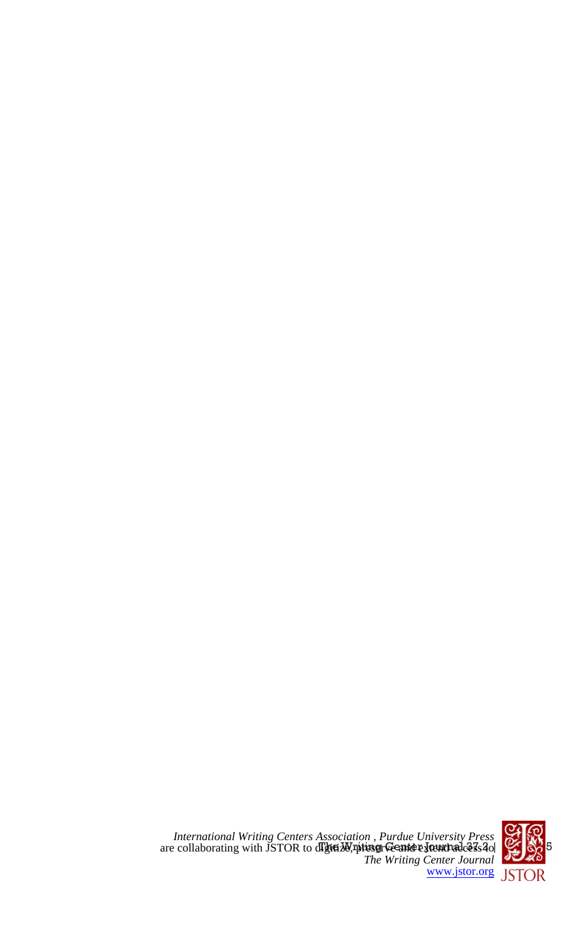

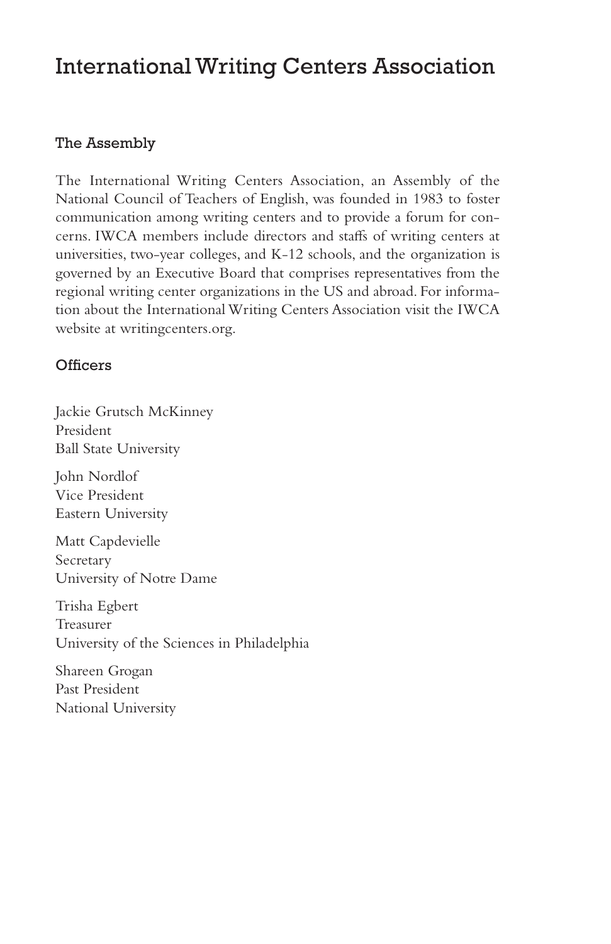# International Writing Centers Association

# The Assembly

The International Writing Centers Association, an Assembly of the National Council of Teachers of English, was founded in 1983 to foster communication among writing centers and to provide a forum for concerns. IWCA members include directors and staffs of writing centers at universities, two-year colleges, and K-12 schools, and the organization is governed by an Executive Board that comprises representatives from the regional writing center organizations in the US and abroad. For information about the International Writing Centers Association visit the IWCA website at writingcenters.org.

# **Officers**

Jackie Grutsch McKinney President Ball State University

John Nordlof Vice President Eastern University

Matt Capdevielle Secretary University of Notre Dame

Trisha Egbert Treasurer University of the Sciences in Philadelphia

Shareen Grogan Past President National University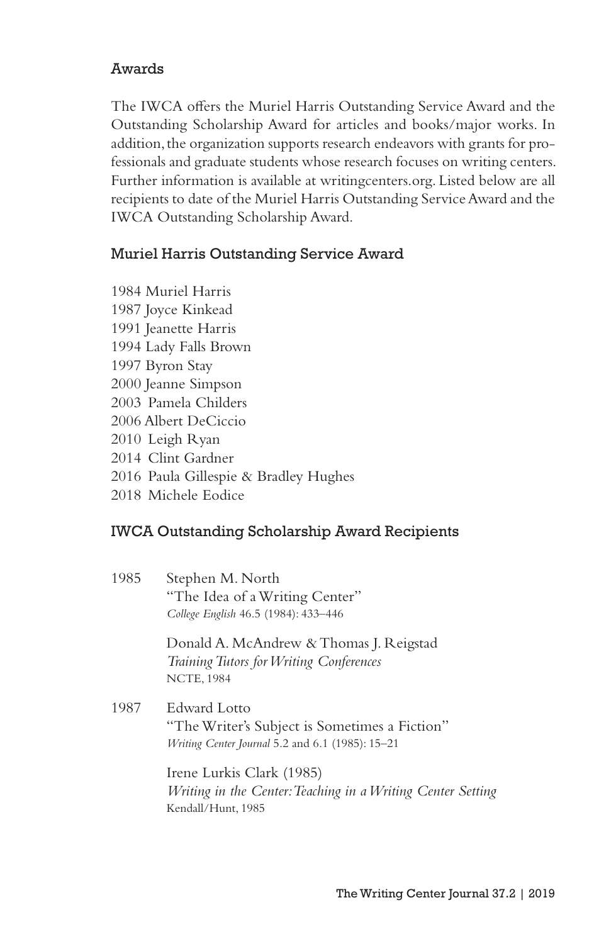# Awards

The IWCA offers the Muriel Harris Outstanding Service Award and the Outstanding Scholarship Award for articles and books/major works. In addition, the organization supports research endeavors with grants for professionals and graduate students whose research focuses on writing centers. Further information is available at writingcenters.org. Listed below are all recipients to date of the Muriel Harris Outstanding Service Award and the IWCA Outstanding Scholarship Award.

### Muriel Harris Outstanding Service Award

- 1984 Muriel Harris
- 1987 Joyce Kinkead
- 1991 Jeanette Harris
- 1994 Lady Falls Brown
- 1997 Byron Stay
- 2000 Jeanne Simpson
- 2003 Pamela Childers
- 2006 Albert DeCiccio
- 2010 Leigh Ryan
- 2014 Clint Gardner
- 2016 Paula Gillespie & Bradley Hughes
- 2018 Michele Eodice

### IWCA Outstanding Scholarship Award Recipients

1985 Stephen M. North "The Idea of a Writing Center" *College English* 46.5 (1984): 433–446

> Donald A. McAndrew & Thomas J. Reigstad *Training Tutors for Writing Conferences* NCTE, 1984

1987 Edward Lotto "The Writer's Subject is Sometimes a Fiction" *Writing Center Journal* 5.2 and 6.1 (1985): 15–21

> Irene Lurkis Clark (1985) *Writing in the Center: Teaching in a Writing Center Setting* Kendall/Hunt, 1985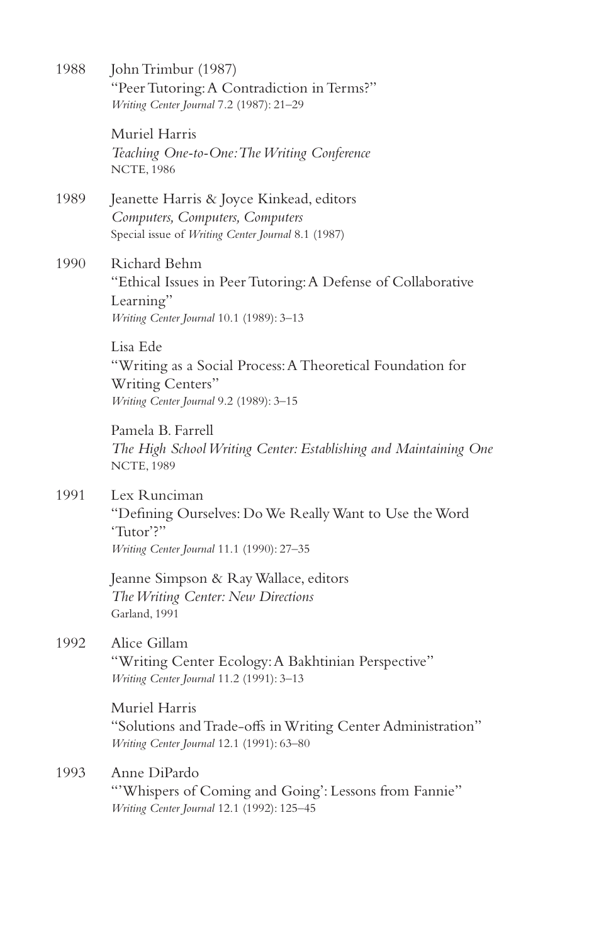| 1988 | John Trimbur (1987)<br>"Peer Tutoring: A Contradiction in Terms?"<br>Writing Center Journal 7.2 (1987): 21-29                         |
|------|---------------------------------------------------------------------------------------------------------------------------------------|
|      | Muriel Harris<br>Teaching One-to-One: The Writing Conference<br><b>NCTE, 1986</b>                                                     |
| 1989 | Jeanette Harris & Joyce Kinkead, editors<br>Computers, Computers, Computers<br>Special issue of Writing Center Journal 8.1 (1987)     |
| 1990 | Richard Behm<br>"Ethical Issues in Peer Tutoring: A Defense of Collaborative<br>Learning"<br>Writing Center Journal 10.1 (1989): 3-13 |
|      | Lisa Ede<br>"Writing as a Social Process: A Theoretical Foundation for<br>Writing Centers"<br>Writing Center Journal 9.2 (1989): 3-15 |
|      | Pamela B. Farrell<br>The High School Writing Center: Establishing and Maintaining One<br><b>NCTE, 1989</b>                            |
| 1991 | Lex Runciman<br>"Defining Ourselves: Do We Really Want to Use the Word<br>'Tutor'?"<br>Writing Center Journal 11.1 (1990): 27-35      |
|      | Jeanne Simpson & Ray Wallace, editors<br>The Writing Center: New Directions<br>Garland, 1991                                          |
| 1992 | Alice Gillam<br>"Writing Center Ecology: A Bakhtinian Perspective"<br>Writing Center Journal 11.2 (1991): 3-13                        |
|      | Muriel Harris<br>"Solutions and Trade-offs in Writing Center Administration"<br>Writing Center Journal 12.1 (1991): 63-80             |
| 1993 | Anne DiPardo<br>"Whispers of Coming and Going': Lessons from Fannie"<br>Writing Center Journal 12.1 (1992): 125-45                    |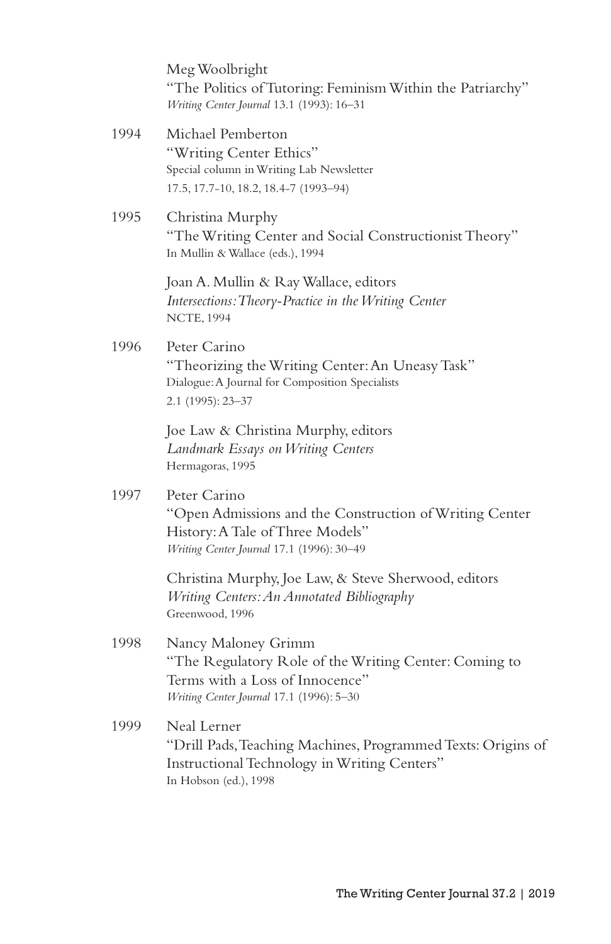Meg Woolbright "The Politics of Tutoring: Feminism Within the Patriarchy" *Writing Center Journal* 13.1 (1993): 16–31

- 1994 Michael Pemberton "Writing Center Ethics" Special column in Writing Lab Newsletter 17.5, 17.7-10, 18.2, 18.4-7 (1993–94)
- 1995 Christina Murphy "The Writing Center and Social Constructionist Theory" In Mullin & Wallace (eds.), 1994

Joan A. Mullin & Ray Wallace, editors *Intersections: Theory-Practice in the Writing Center* NCTE, 1994

1996 Peter Carino "Theorizing the Writing Center: An Uneasy Task" Dialogue: A Journal for Composition Specialists 2.1 (1995): 23–37

> Joe Law & Christina Murphy, editors *Landmark Essays on Writing Centers* Hermagoras, 1995

1997 Peter Carino

"Open Admissions and the Construction of Writing Center History: A Tale of Three Models" *Writing Center Journal* 17.1 (1996): 30–49

Christina Murphy, Joe Law, & Steve Sherwood, editors *Writing Centers: An Annotated Bibliography* Greenwood, 1996

- 1998 Nancy Maloney Grimm "The Regulatory Role of the Writing Center: Coming to Terms with a Loss of Innocence" *Writing Center Journal* 17.1 (1996): 5–30
- 1999 Neal Lerner "Drill Pads, Teaching Machines, Programmed Texts: Origins of Instructional Technology in Writing Centers" In Hobson (ed.), 1998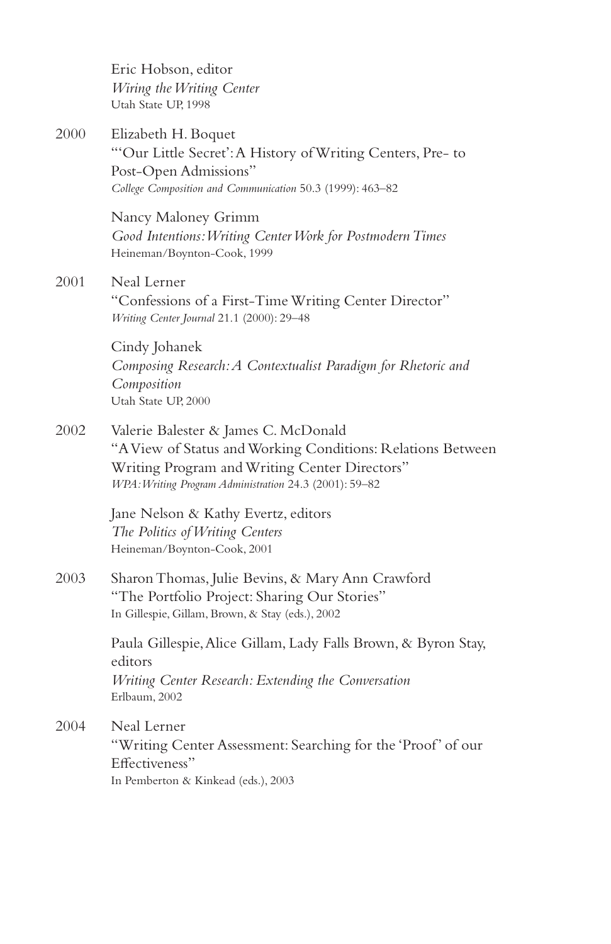Eric Hobson, editor *Wiring the Writing Center* Utah State UP, 1998

2000 Elizabeth H. Boquet "'Our Little Secret': A History of Writing Centers, Pre- to Post-Open Admissions" *College Composition and Communication* 50.3 (1999): 463–82

> Nancy Maloney Grimm *Good Intentions: Writing Center Work for Postmodern Times* Heineman/Boynton-Cook, 1999

2001 Neal Lerner "Confessions of a First-Time Writing Center Director" *Writing Center Journal* 21.1 (2000): 29–48

> Cindy Johanek *Composing Research: A Contextualist Paradigm for Rhetoric and Composition* Utah State UP, 2000

2002 Valerie Balester & James C. McDonald "A View of Status and Working Conditions: Relations Between Writing Program and Writing Center Directors" *WPA: Writing Program Administration* 24.3 (2001): 59–82

> Jane Nelson & Kathy Evertz, editors *The Politics of Writing Centers* Heineman/Boynton-Cook, 2001

2003 Sharon Thomas, Julie Bevins, & Mary Ann Crawford "The Portfolio Project: Sharing Our Stories" In Gillespie, Gillam, Brown, & Stay (eds.), 2002

> Paula Gillespie, Alice Gillam, Lady Falls Brown, & Byron Stay, editors *Writing Center Research: Extending the Conversation* Erlbaum, 2002

2004 Neal Lerner "Writing Center Assessment: Searching for the 'Proof' of our Effectiveness" In Pemberton & Kinkead (eds.), 2003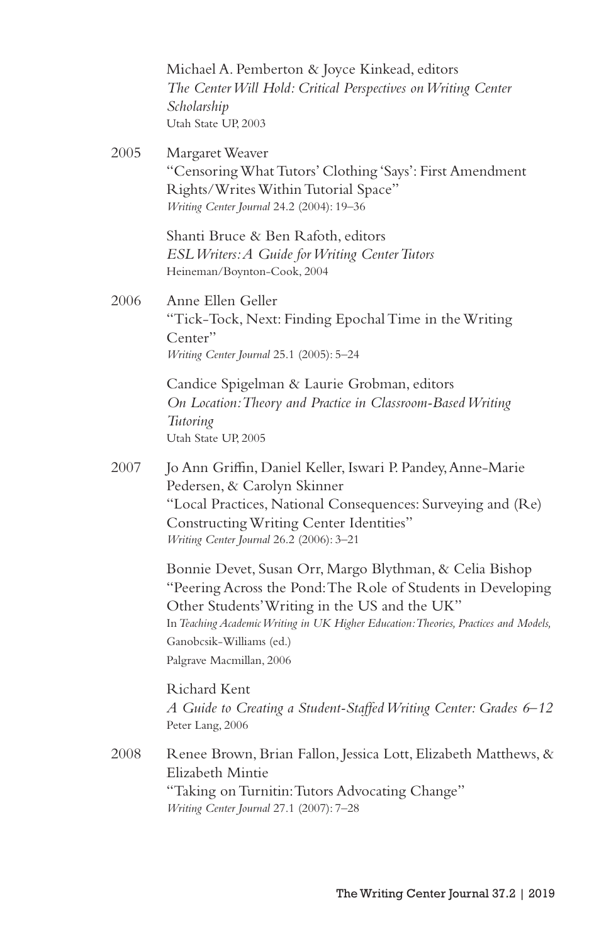Michael A. Pemberton & Joyce Kinkead, editors *The Center Will Hold: Critical Perspectives on Writing Center Scholarship* Utah State UP, 2003

2005 Margaret Weaver "Censoring What Tutors' Clothing 'Says': First Amendment Rights/Writes Within Tutorial Space" *Writing Center Journal* 24.2 (2004): 19–36

> Shanti Bruce & Ben Rafoth, editors *ESL Writers: A Guide for Writing Center Tutors* Heineman/Boynton-Cook, 2004

2006 Anne Ellen Geller "Tick-Tock, Next: Finding Epochal Time in the Writing Center" *Writing Center Journal* 25.1 (2005): 5–24

> Candice Spigelman & Laurie Grobman, editors *On Location: Theory and Practice in Classroom-Based Writing Tutoring* Utah State UP, 2005

2007 Jo Ann Griffin, Daniel Keller, Iswari P. Pandey, Anne-Marie Pedersen, & Carolyn Skinner "Local Practices, National Consequences: Surveying and (Re) Constructing Writing Center Identities" *Writing Center Journal* 26.2 (2006): 3–21

> Bonnie Devet, Susan Orr, Margo Blythman, & Celia Bishop "Peering Across the Pond: The Role of Students in Developing Other Students' Writing in the US and the UK" In *Teaching Academic Writing in UK Higher Education: Theories, Practices and Models,* Ganobcsik-Williams (ed.) Palgrave Macmillan, 2006

> Richard Kent *A Guide to Creating a Student-Staffed Writing Center: Grades 6*–*12* Peter Lang, 2006

2008 Renee Brown, Brian Fallon, Jessica Lott, Elizabeth Matthews, & Elizabeth Mintie "Taking on Turnitin: Tutors Advocating Change" *Writing Center Journal* 27.1 (2007): 7–28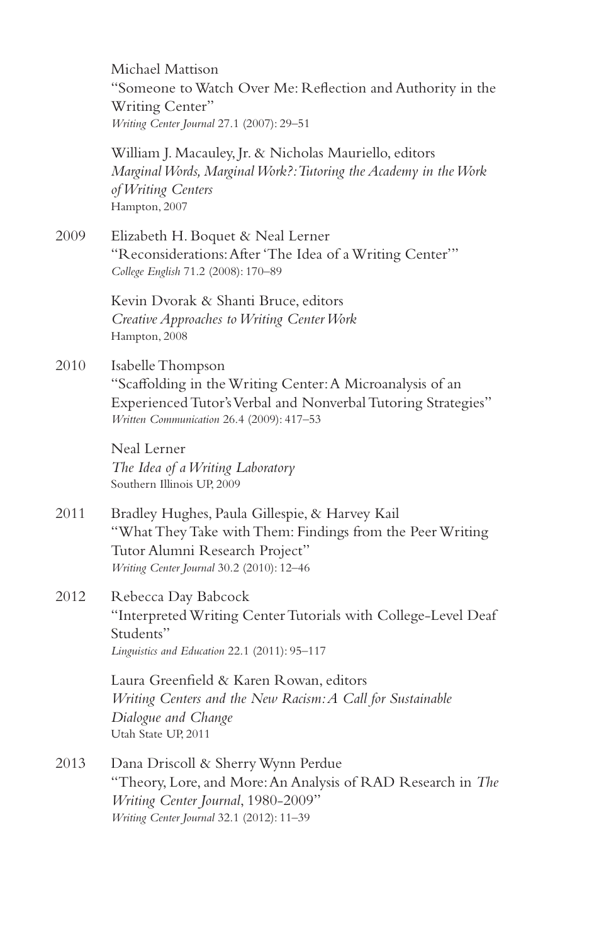Michael Mattison "Someone to Watch Over Me: Reflection and Authority in the Writing Center" *Writing Center Journal* 27.1 (2007): 29–51

William J. Macauley, Jr. & Nicholas Mauriello, editors *Marginal Words, Marginal Work?: Tutoring the Academy in the Work of Writing Centers* Hampton, 2007

2009 Elizabeth H. Boquet & Neal Lerner "Reconsiderations: After 'The Idea of a Writing Center'" *College English* 71.2 (2008): 170–89

> Kevin Dvorak & Shanti Bruce, editors *Creative Approaches to Writing Center Work* Hampton, 2008

2010 Isabelle Thompson "Scaffolding in the Writing Center: A Microanalysis of an Experienced Tutor's Verbal and Nonverbal Tutoring Strategies" *Written Communication* 26.4 (2009): 417–53

> Neal Lerner *The Idea of a Writing Laboratory* Southern Illinois UP, 2009

2011 Bradley Hughes, Paula Gillespie, & Harvey Kail "What They Take with Them: Findings from the Peer Writing Tutor Alumni Research Project" *Writing Center Journal* 30.2 (2010): 12–46

2012 Rebecca Day Babcock "Interpreted Writing Center Tutorials with College-Level Deaf Students" *Linguistics and Education* 22.1 (2011): 95–117

> Laura Greenfield & Karen Rowan, editors *Writing Centers and the New Racism: A Call for Sustainable Dialogue and Change* Utah State UP, 2011

2013 Dana Driscoll & Sherry Wynn Perdue "Theory, Lore, and More: An Analysis of RAD Research in *The Writing Center Journal*, 1980-2009" *Writing Center Journal* 32.1 (2012): 11–39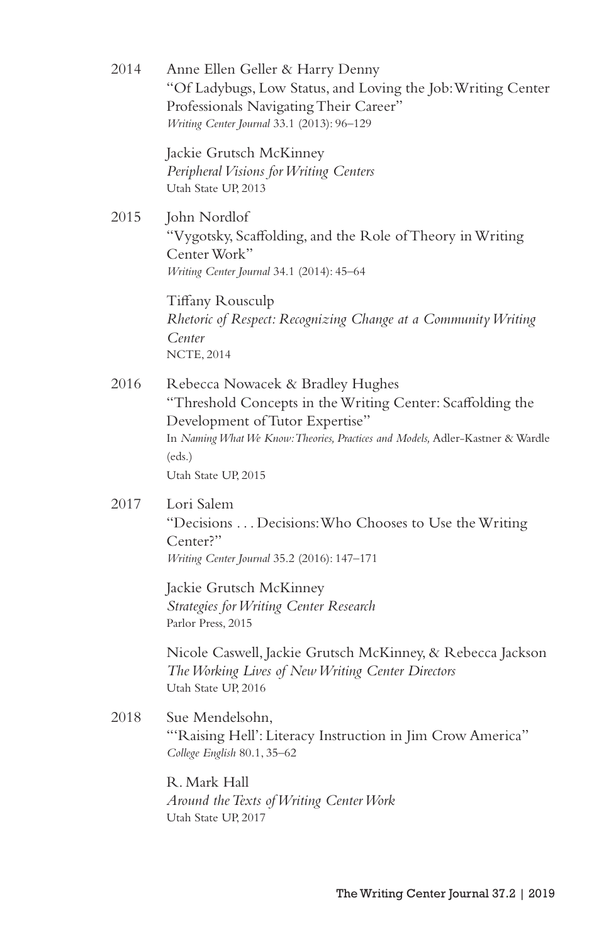2014 Anne Ellen Geller & Harry Denny "Of Ladybugs, Low Status, and Loving the Job: Writing Center Professionals Navigating Their Career" *Writing Center Journal* 33.1 (2013): 96–129 Jackie Grutsch McKinney *Peripheral Visions for Writing Centers* Utah State UP, 2013 2015 **John Nordlof** "Vygotsky, Scaffolding, and the Role of Theory in Writing Center Work" *Writing Center Journal* 34.1 (2014): 45–64 Tiffany Rousculp *Rhetoric of Respect: Recognizing Change at a Community Writing Center* NCTE, 2014 2016 Rebecca Nowacek & Bradley Hughes "Threshold Concepts in the Writing Center: Scaffolding the Development of Tutor Expertise" In *Naming What We Know: Theories, Practices and Models,* Adler-Kastner & Wardle (eds.) Utah State UP, 2015 2017 Lori Salem "Decisions . . . Decisions: Who Chooses to Use the Writing Center?" *Writing Center Journal* 35.2 (2016): 147–171 Jackie Grutsch McKinney *Strategies for Writing Center Research* Parlor Press, 2015 Nicole Caswell, Jackie Grutsch McKinney, & Rebecca Jackson *The Working Lives of New Writing Center Directors* Utah State UP, 2016 2018 Sue Mendelsohn, "'Raising Hell': Literacy Instruction in Jim Crow America" *College English* 80.1, 35–62 R. Mark Hall *Around the Texts of Writing Center Work* Utah State UP, 2017